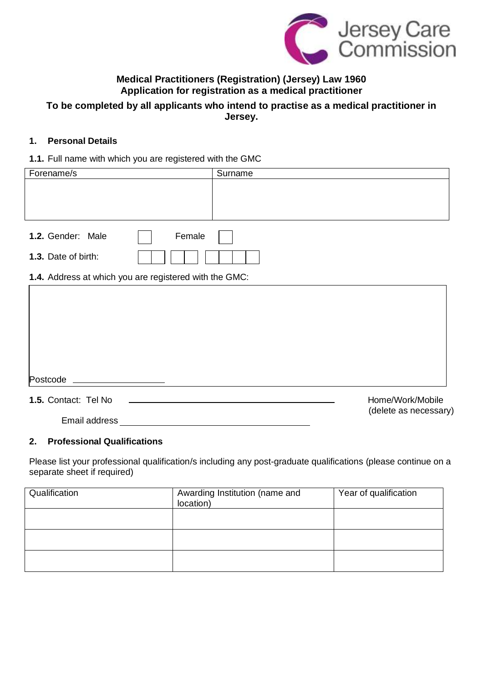

# **Medical Practitioners (Registration) (Jersey) Law 1960 Application for registration as a medical practitioner**

# **To be completed by all applicants who intend to practise as a medical practitioner in Jersey.**

# **1. Personal Details**

# **1.1.** Full name with which you are registered with the GMC

| Forename/s                                             | Surname |                       |
|--------------------------------------------------------|---------|-----------------------|
|                                                        |         |                       |
|                                                        |         |                       |
| 1.2. Gender: Male                                      | Female  |                       |
| 1.3. Date of birth:                                    |         |                       |
| 1.4. Address at which you are registered with the GMC: |         |                       |
|                                                        |         |                       |
|                                                        |         |                       |
|                                                        |         |                       |
|                                                        |         |                       |
|                                                        |         |                       |
| Postcode                                               |         |                       |
| 1.5. Contact: Tel No                                   |         | Home/Work/Mobile      |
| Email address                                          |         | (delete as necessary) |

# **2. Professional Qualifications**

Please list your professional qualification/s including any post-graduate qualifications (please continue on a separate sheet if required)

| Qualification | Awarding Institution (name and<br>location) | Year of qualification |  |
|---------------|---------------------------------------------|-----------------------|--|
|               |                                             |                       |  |
|               |                                             |                       |  |
|               |                                             |                       |  |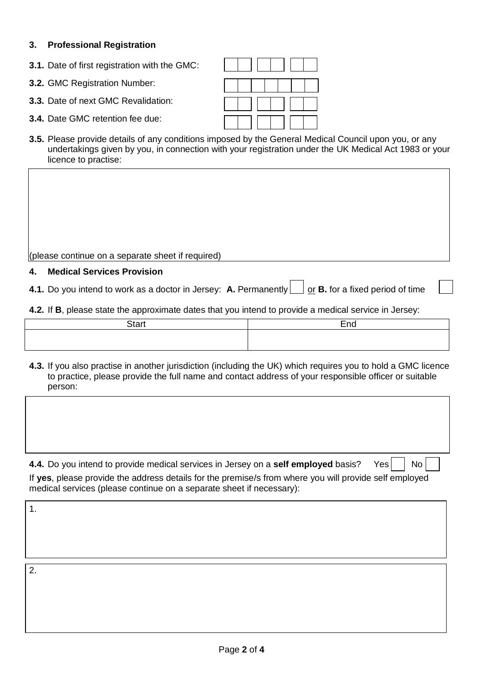# **3. Professional Registration**

**3.1.** Date of first registration with the GMC:

**3.2.** GMC Registration Number:

**3.3.** Date of next GMC Revalidation:

- **3.4.** Date GMC retention fee due:
- **3.5.** Please provide details of any conditions imposed by the General Medical Council upon you, or any undertakings given by you, in connection with your registration under the UK Medical Act 1983 or your licence to practise:

(please continue on a separate sheet if required)

#### **4. Medical Services Provision**

**4.1.** Do you intend to work as a doctor in Jersey: **A.** Permanently  $\Box$  or **B.** for a fixed period of time

**4.2.** If **B**, please state the approximate dates that you intend to provide a medical service in Jersey:

| $C$ tort | $T_{\rm DM}$<br>⊡וי |
|----------|---------------------|
|          |                     |
|          |                     |

**4.3.** If you also practise in another jurisdiction (including the UK) which requires you to hold a GMC licence to practice, please provide the full name and contact address of your responsible officer or suitable person:

**4.4.** Do you intend to provide medical services in Jersey on a **self employed** basis? Yes  $\vert$  No If **yes**, please provide the address details for the premise/s from where you will provide self employed medical services (please continue on a separate sheet if necessary):

1.

2.

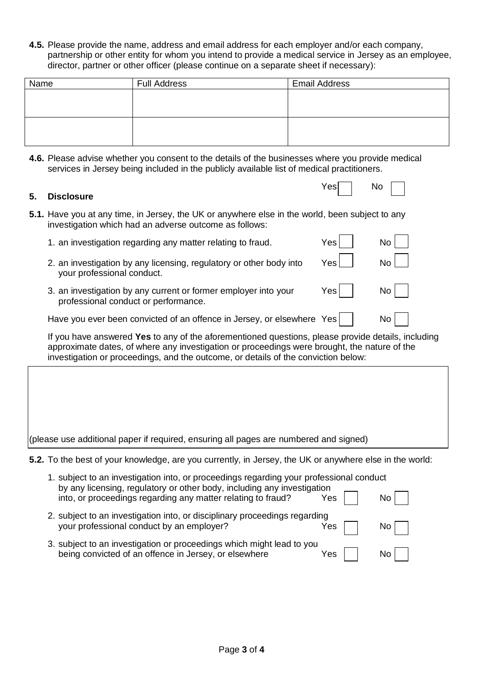**4.5.** Please provide the name, address and email address for each employer and/or each company, partnership or other entity for whom you intend to provide a medical service in Jersey as an employee, director, partner or other officer (please continue on a separate sheet if necessary):

| Name | <b>Full Address</b> | <b>Email Address</b> |
|------|---------------------|----------------------|
|      |                     |                      |
|      |                     |                      |
|      |                     |                      |
|      |                     |                      |
|      |                     |                      |

**4.6.** Please advise whether you consent to the details of the businesses where you provide medical services in Jersey being included in the publicly available list of medical practitioners.

Yes | No

# **5. Disclosure**

- **5.1.** Have you at any time, in Jersey, the UK or anywhere else in the world, been subject to any investigation which had an adverse outcome as follows:
	- 1. an investigation regarding any matter relating to fraud.  $Yes$  |  $\blacksquare$  No
	- 2. an investigation by any licensing, regulatory or other body into  $Yes$   $\Box$  No your professional conduct.
	- 3. an investigation by any current or former employer into your  $Yes$   $\vert$  No professional conduct or performance.

Have you ever been convicted of an offence in Jersey, or elsewhere  $Yes \mid \cdot \cdot \cdot$  No

If you have answered **Yes** to any of the aforementioned questions, please provide details, including approximate dates, of where any investigation or proceedings were brought, the nature of the investigation or proceedings, and the outcome, or details of the conviction below:

| (please use additional paper if required, ensuring all pages are numbered and signed) |  |  |  |
|---------------------------------------------------------------------------------------|--|--|--|

**5.2.** To the best of your knowledge, are you currently, in Jersey, the UK or anywhere else in the world:

| 1. subject to an investigation into, or proceedings regarding your professional conduct<br>by any licensing, regulatory or other body, including any investigation<br>into, or proceedings regarding any matter relating to fraud? | Yes | No.  |
|------------------------------------------------------------------------------------------------------------------------------------------------------------------------------------------------------------------------------------|-----|------|
| 2. subject to an investigation into, or disciplinary proceedings regarding<br>your professional conduct by an employer?                                                                                                            | Yes | No l |
| 3. subject to an investigation or proceedings which might lead to you<br>being convicted of an offence in Jersey, or elsewhere                                                                                                     | Yes | No l |